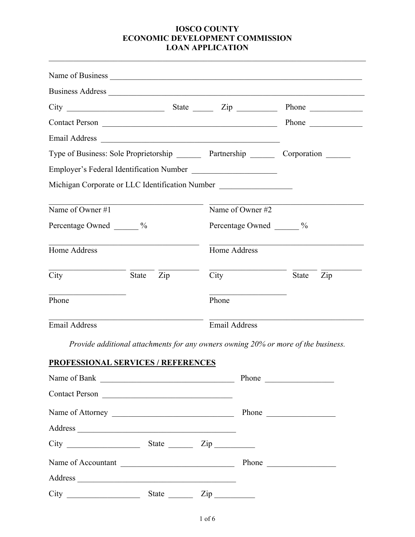|                            |       |                                   | $City$ $2ip$ $2ip$                                                               | Phone                                                                                  |  |
|----------------------------|-------|-----------------------------------|----------------------------------------------------------------------------------|----------------------------------------------------------------------------------------|--|
|                            |       |                                   | Contact Person                                                                   | Phone                                                                                  |  |
|                            |       |                                   |                                                                                  |                                                                                        |  |
|                            |       |                                   |                                                                                  | Type of Business: Sole Proprietorship ________ Partnership ________ Corporation ______ |  |
|                            |       |                                   | Employer's Federal Identification Number                                         |                                                                                        |  |
|                            |       |                                   | Michigan Corporate or LLC Identification Number ________________________________ |                                                                                        |  |
| Name of Owner #1           |       |                                   | Name of Owner #2                                                                 |                                                                                        |  |
| Percentage Owned _______ % |       |                                   | Percentage Owned ______ %                                                        |                                                                                        |  |
| Home Address               |       |                                   | Home Address                                                                     |                                                                                        |  |
| City                       | State | $\mathop{\mathrm {Zip}}\nolimits$ | City                                                                             | <b>State</b><br>Zip                                                                    |  |
| Phone                      |       |                                   | Phone                                                                            |                                                                                        |  |
| <b>Email Address</b>       |       |                                   | <b>Email Address</b>                                                             |                                                                                        |  |

*Provide additional attachments for any owners owning 20% or more of the business.* 

## **PROFESSIONAL SERVICES / REFERENCES**

| Name of Bank                                    |                            |                                                                                                | Phone |
|-------------------------------------------------|----------------------------|------------------------------------------------------------------------------------------------|-------|
| Contact Person                                  |                            |                                                                                                |       |
| Name of Attorney                                | Phone                      |                                                                                                |       |
|                                                 |                            |                                                                                                |       |
|                                                 | State $\frac{Zip}{\cdots}$ |                                                                                                |       |
| Name of Accountant                              | Phone $\qquad \qquad$      |                                                                                                |       |
| Address                                         |                            |                                                                                                |       |
| City<br><u> 1999 - Johann Barbara, martin a</u> | State                      | $\mathop{\mathrm {Zip}}\nolimits$<br>$\mathcal{L}_{\text{max}}$ and $\mathcal{L}_{\text{max}}$ |       |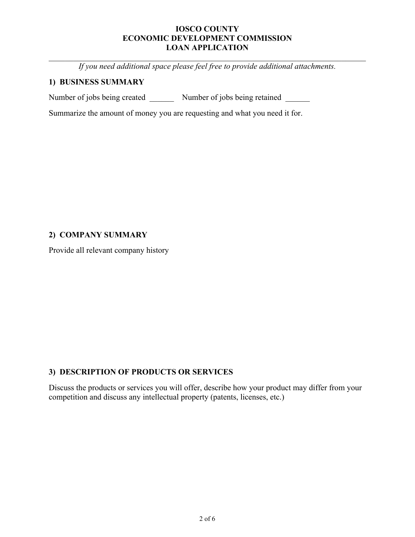*If you need additional space please feel free to provide additional attachments.* 

## **1) BUSINESS SUMMARY**

Number of jobs being created Number of jobs being retained

Summarize the amount of money you are requesting and what you need it for.

# **2) COMPANY SUMMARY**

Provide all relevant company history

# **3) DESCRIPTION OF PRODUCTS OR SERVICES**

Discuss the products or services you will offer, describe how your product may differ from your competition and discuss any intellectual property (patents, licenses, etc.)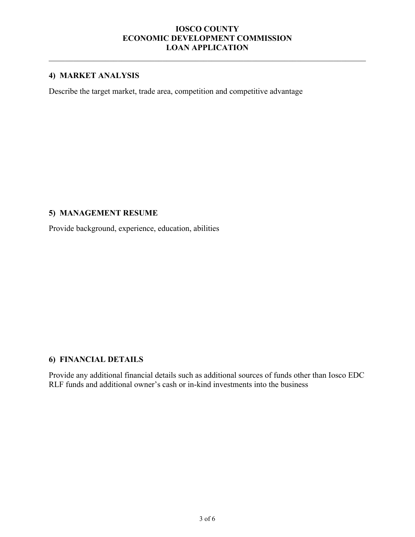# **4) MARKET ANALYSIS**

Describe the target market, trade area, competition and competitive advantage

### **5) MANAGEMENT RESUME**

Provide background, experience, education, abilities

# **6) FINANCIAL DETAILS**

Provide any additional financial details such as additional sources of funds other than Iosco EDC RLF funds and additional owner's cash or in-kind investments into the business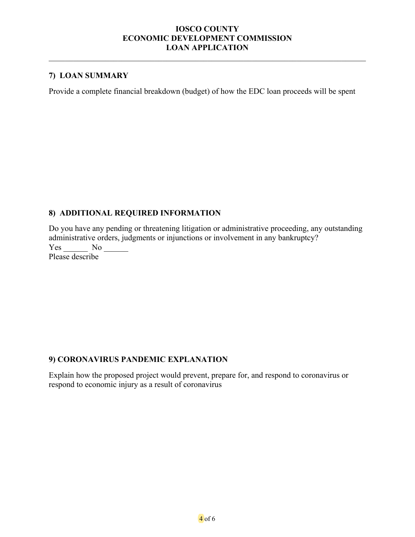## **7) LOAN SUMMARY**

Provide a complete financial breakdown (budget) of how the EDC loan proceeds will be spent

## **8) ADDITIONAL REQUIRED INFORMATION**

Do you have any pending or threatening litigation or administrative proceeding, any outstanding administrative orders, judgments or injunctions or involvement in any bankruptcy? Yes No Please describe

### **9) CORONAVIRUS PANDEMIC EXPLANATION**

Explain how the proposed project would prevent, prepare for, and respond to coronavirus or respond to economic injury as a result of coronavirus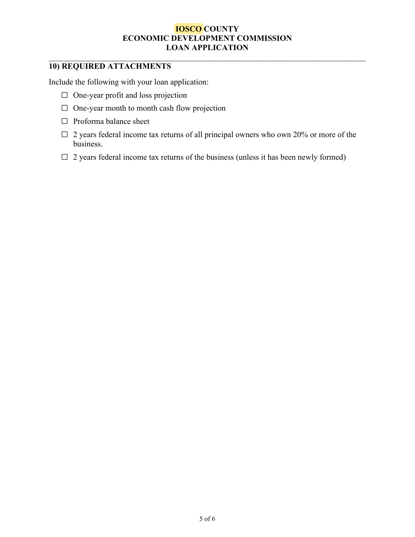# **10) REQUIRED ATTACHMENTS**

Include the following with your loan application:

- $\Box$  One-year profit and loss projection
- □ One-year month to month cash flow projection
- □ Proforma balance sheet
- $\Box$  2 years federal income tax returns of all principal owners who own 20% or more of the business.
- $\Box$  2 years federal income tax returns of the business (unless it has been newly formed)